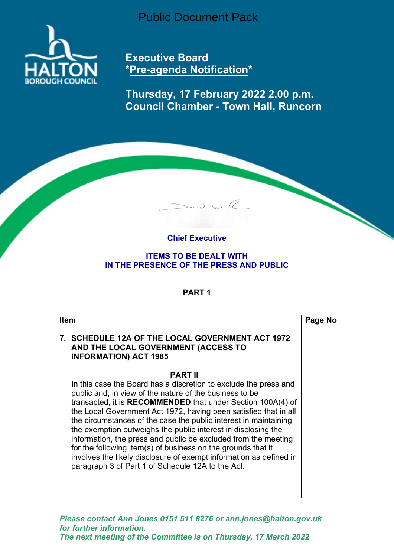Public Document Pack



**Executive Board \*Pre-agenda Notification\***

**Thursday, 17 February 2022 2.00 p.m. Council Chamber - Town Hall, Runcorn**

# **Chief Executive**

 $D$ an,  $D$ , W) R

**ITEMS TO BE DEALT WITH IN THE PRESENCE OF THE PRESS AND PUBLIC**

### **PART 1**

**Item Page No. 2.1 <b>Page** No. 2.1 **Page** No. 2.1 **Page** No. 2.1 **Page** No. 2.1 **Page** No. 2.1 **Page** 

### **7. SCHEDULE 12A OF THE LOCAL GOVERNMENT ACT 1972 AND THE LOCAL GOVERNMENT (ACCESS TO INFORMATION) ACT 1985**

#### **PART II**

In this case the Board has a discretion to exclude the press and public and, in view of the nature of the business to be transacted, it is **RECOMMENDED** that under Section 100A(4) of the Local Government Act 1972, having been satisfied that in all the circumstances of the case the public interest in maintaining the exemption outweighs the public interest in disclosing the information, the press and public be excluded from the meeting for the following item(s) of business on the grounds that it involves the likely disclosure of exempt information as defined in paragraph 3 of Part 1 of Schedule 12A to the Act.

*Please contact Ann Jones 0151 511 8276 or ann.jones@halton.gov.uk for further information. The next meeting of the Committee is on Thursday, 17 March 2022*